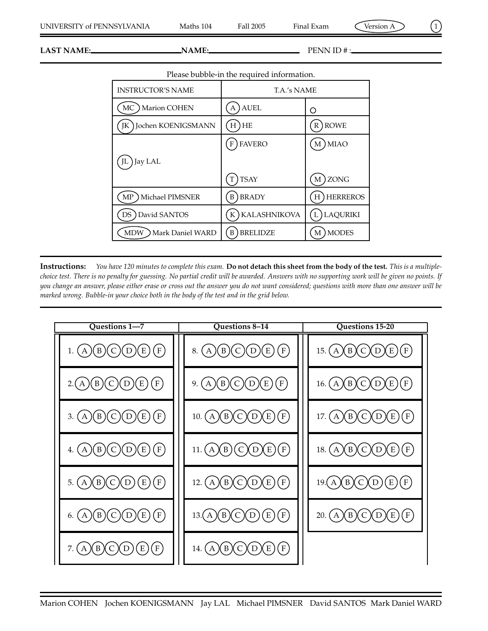**LAST NAME:** PENN ID # :

| Please bubble-in the required information. |                      |                      |  |  |  |  |
|--------------------------------------------|----------------------|----------------------|--|--|--|--|
| <b>INSTRUCTOR'S NAME</b>                   | T.A.'s NAME          |                      |  |  |  |  |
| <b>Marion COHEN</b><br>МC                  | <b>AUEL</b>          | Ο                    |  |  |  |  |
| Jochen KOENIGSMANN<br>IК                   | <b>HE</b><br>Н       | <b>ROWE</b><br>R     |  |  |  |  |
|                                            | <b>FAVERO</b><br>F   | <b>MIAO</b><br>М     |  |  |  |  |
| Jay LAL                                    |                      |                      |  |  |  |  |
|                                            | <b>TSAY</b>          | ZONG<br>М            |  |  |  |  |
| Michael PIMSNER<br>MP                      | <b>BRADY</b><br>B    | <b>HERREROS</b><br>Н |  |  |  |  |
| David SANTOS<br>DS                         | KALASHNIKOVA<br>K    | <b>LAQURIKI</b>      |  |  |  |  |
| MDW<br>Mark Daniel WARD                    | <b>BRELIDZE</b><br>B | <b>MODES</b><br>М    |  |  |  |  |
|                                            |                      |                      |  |  |  |  |

**Instructions:** *You have 120 minutes to complete this exam.* **Do not detach this sheet from the body of the test.** *This is a multiplechoice test. There is no penalty for guessing. No partial credit will be awarded. Answers with no supporting work will be given no points. If you change an answer, please either erase or cross out the answer you do not want considered; questions with more than one answer will be marked wrong. Bubble-in your choice both in the body of the test and in the grid below.*

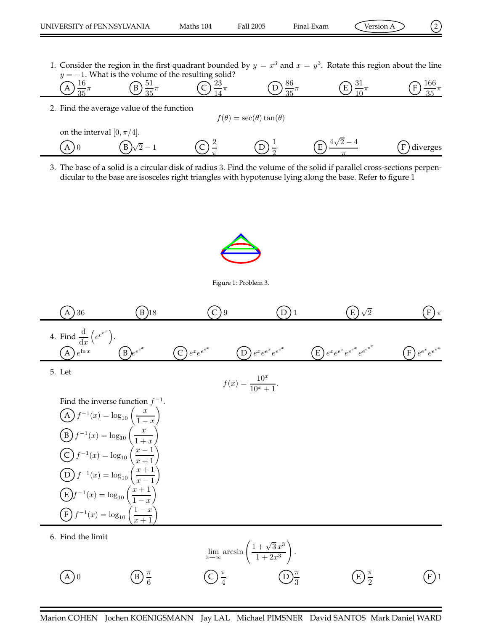1. Consider the region in the first quadrant bounded by  $y = x^3$  and  $x = y^3$ . Rotate this region about the line  $y = -1$ . What is the volume of the resulting solid?

$$
\text{(A)} \frac{16}{35}\pi \text{ (B)} \frac{51}{35}\pi \text{ (C)} \frac{23}{14}\pi \text{ (D)} \frac{86}{35}\pi \text{ (E)} \frac{31}{10}\pi \text{ (E)} \frac{166}{35}\pi
$$

2. Find the average value of the function

$$
f(\theta) = \sec(\theta)\tan(\theta)
$$

on the interval 
$$
[0, \pi/4]
$$
.  
\n(A) 0\n(B)  $\sqrt{2}-1$ \n(C)  $\frac{2}{\pi}$ \n(D)  $\frac{1}{2}$ \n(E)  $\frac{4\sqrt{2}-4}{\pi}$ \n(F) diverges

3. The base of a solid is a circular disk of radius 3. Find the volume of the solid if parallel cross-sections perpendicular to the base are isosceles right triangles with hypotenuse lying along the base. Refer to figure 1



Figure 1: Problem 3.



Marion COHEN Jochen KOENIGSMANN Jay LAL Michael PIMSNER David SANTOS Mark Daniel WARD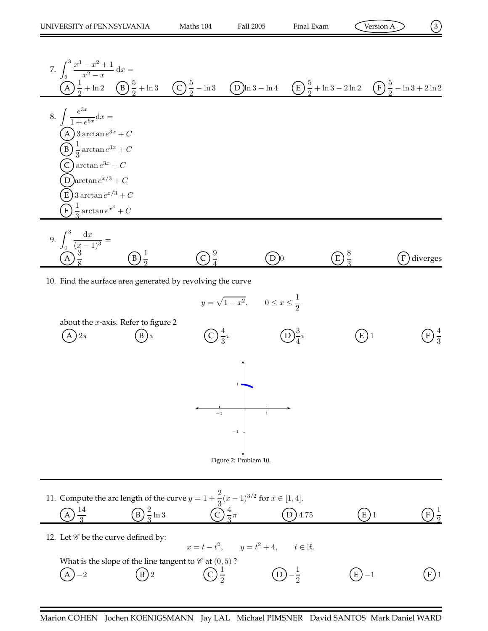$$
\widehat{\text{Version A}}
$$

7. 
$$
\int_{2}^{3} \frac{x^{3}-x^{2}+1}{x^{2}-x} dx =
$$
  
\n(A)  $\frac{1}{2} + \ln 2$  (B)  $\frac{5}{2} + \ln 3$  (C)  $\frac{5}{2} - \ln 3$  (D)  $\ln 3 - \ln 4$  (E)  $\frac{5}{2} + \ln 3 - 2\ln 2$  (F)  $\frac{5}{2} - \ln 3 + 2\ln 2$   
\n8.  $\int \frac{e^{3x}}{1+e^{6x}} dx =$   
\n(A)  $3 \arctan e^{3x} + C$   
\n(B)  $\frac{1}{3} \arctan e^{3x} + C$   
\n(C)  $\arctan e^{x/3} + C$   
\n(D)  $\arctan e^{x/3} + C$   
\n(E)  $3 \arctan e^{x/3} + C$   
\n(E)  $\frac{1}{3} \arctan e^{x/3} + C$   
\n9.  $\int_{0}^{3} \frac{dx}{(x-1)^{3}} =$   
\n(A)  $\frac{3}{8}$  (B)  $\frac{1}{2}$  (C)  $\frac{9}{4}$  (D) (E)  $\frac{8}{3}$  (F) diverges

10. Find the surface area generated by revolving the curve

$$
y = \sqrt{1 - x^2}, \qquad 0 \le x \le \frac{1}{2}
$$



| 11. Compute the arc length of the curve $y = 1 + \frac{2}{9}(x-1)^{3/2}$ for $x \in [1, 4]$ . |  |  |      |  |  |  |  |  |  |
|-----------------------------------------------------------------------------------------------|--|--|------|--|--|--|--|--|--|
|                                                                                               |  |  | 4.75 |  |  |  |  |  |  |

12. Let  $\mathcal C$  be the curve defined by:

|                   |                                                                    |                   | $x = t - t^2$ , $y = t^2 + 4$ , $t \in \mathbb{R}$ . |          |         |
|-------------------|--------------------------------------------------------------------|-------------------|------------------------------------------------------|----------|---------|
|                   | What is the slope of the line tangent to $\mathscr C$ at $(0,5)$ ? |                   |                                                      |          |         |
| $\binom{A}{2}$ -2 | $(B)$ 2                                                            | $(C) \frac{1}{2}$ | $(D) - \frac{1}{2}$                                  | $(E)$ -1 | $(F)$ 1 |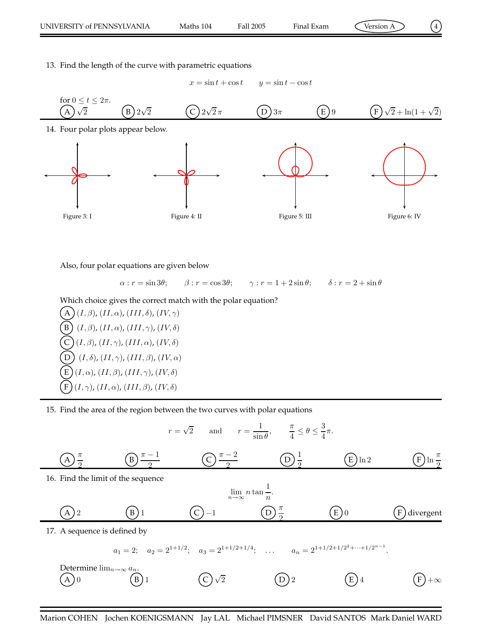$$
(\frac{4}{3})
$$

13. Find the length of the curve with parametric equations

 $x = \sin t + \cos t$   $y = \sin t - \cos t$ 



Also, four polar equations are given below

 $\alpha : r = \sin 3\theta;$   $\beta : r = \cos 3\theta;$   $\gamma : r = 1 + 2\sin \theta;$   $\delta : r = 2 + \sin \theta$ 

Which choice gives the correct match with the polar equation?

 $(A)(I,\beta), (II,\alpha), (III,\delta), (IV,\gamma)$  $(B)$   $(I, \beta)$ ,  $(II, \alpha)$ ,  $(III, \gamma)$ ,  $(IV, \delta)$  $(C)$   $(I, \beta)$ ,  $(II, \gamma)$ ,  $(III, \alpha)$ ,  $(IV, \delta)$  $\left(D\right)$   $(I, \delta)$ ,  $(II, \gamma)$ ,  $(III, \beta)$ ,  $(IV, \alpha)$  $(E)(I,\alpha)$ ,  $(II,\beta)$ ,  $(III,\gamma)$ ,  $(IV,\delta)$  $(F)(I,\gamma)$ ,  $(II,\alpha)$ ,  $(III,\beta)$ ,  $(IV,\delta)$ 

15. Find the area of the region between the two curves with polar equations

$$
r = \sqrt{2} \quad \text{and} \quad r = \frac{1}{\sin \theta}, \qquad \frac{\pi}{4} \le \theta \le \frac{3}{4}\pi.
$$
  
\n
$$
\frac{A}{2} \frac{\pi}{2} \qquad \frac{B}{2} \frac{\pi - 1}{2} \qquad \frac{C}{2} \frac{\pi - 2}{2} \qquad \frac{D}{2} \frac{1}{2} \qquad \frac{E}{2} \ln 2 \qquad \frac{F}{2} \ln \frac{\pi}{2}
$$
  
\n16. Find the limit of the sequence  
\n
$$
\lim_{n \to \infty} n \tan \frac{1}{n}.
$$
  
\n
$$
\frac{A}{2} \qquad \frac{B}{2} \qquad \frac{D}{2} \qquad \frac{\pi}{2} \qquad \frac{E}{2} \qquad \frac{D}{2} \qquad \frac{E}{2} \qquad \frac{F}{2} \text{divergent}}
$$
  
\n17. A sequence is defined by  
\n
$$
a_1 = 2; \quad a_2 = 2^{1+1/2}; \quad a_3 = 2^{1+1/2+1/4}; \quad \dots \qquad a_n = 2^{1+1/2+1/2^2 + \dots + 1/2^{n-1}}.
$$
  
\nDetermine  $\lim_{n \to \infty} a_n$ .  
\n
$$
\frac{A}{2} \qquad \frac{B}{2} \qquad \frac{B}{2} \qquad \frac{C}{2} \qquad \frac{D}{2} \qquad \frac{E}{2} \qquad \frac{E}{2} \qquad \frac{E}{2} \qquad \frac{E}{2} \qquad \frac{E}{2} \qquad \frac{E}{2} \qquad \frac{E}{2} \qquad \frac{E}{2} \qquad \frac{E}{2} \qquad \frac{E}{2} \qquad \frac{E}{2} \qquad \frac{E}{2} \qquad \frac{E}{2} \qquad \frac{E}{2} \qquad \frac{E}{2} \qquad \frac{E}{2} \qquad \frac{E}{2} \qquad \frac{E}{2} \qquad \frac{E}{2} \qquad \frac{E}{2} \qquad \frac{E}{2} \qquad \frac{E}{2} \qquad \frac{E}{2} \qquad \frac{E}{2} \qquad \frac{E}{2} \qquad \frac{E}{2} \qquad \frac{E}{2} \qquad \
$$

Marion COHEN Jochen KOENIGSMANN Jay LAL Michael PIMSNER David SANTOS Mark Daniel WARD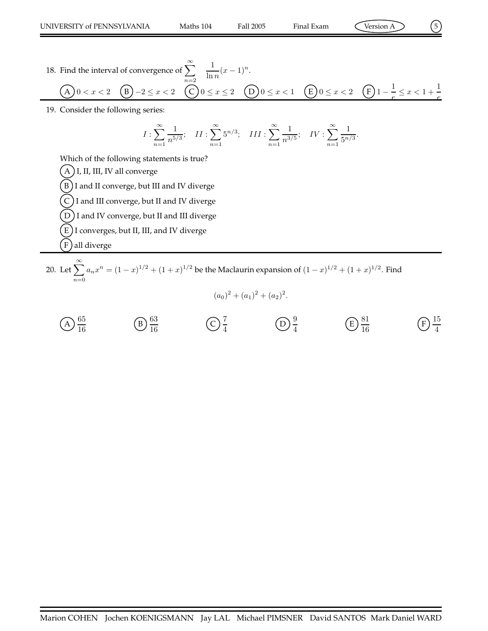.

e

- 18. Find the interval of convergence of  $\sum_{n=1}^{\infty}$  $n=2$ 1  $\frac{1}{\ln n}(x-1)^n.$ A  $0 < x < 2$  (B)  $-2 \le x < 2$  (C)  $0 \le x \le 2$  (D)  $0 \le x < 1$  (E)  $0 \le x < 2$  (F)  $1 - \frac{1}{e}$  $\frac{1}{e} \leq x < 1 + \frac{1}{e}$
- 19. Consider the following series:

$$
I: \sum_{n=1}^{\infty} \frac{1}{n^{5/3}}; \quad II: \sum_{n=1}^{\infty} 5^{n/3}; \quad III: \sum_{n=1}^{\infty} \frac{1}{n^{3/5}}; \quad IV: \sum_{n=1}^{\infty} \frac{1}{5^{n/3}}
$$

Which of the following statements is true?

 $(A)$  I, II, III, IV all converge

- $(B)$ I and II converge, but III and IV diverge
- $(C)$  I and III converge, but II and IV diverge
- $\big( \mathrm{D} \big)$ I and IV converge, but II and III diverge
- $\rm (E)$  I converges, but II, III, and IV diverge
- ( F ) all diverge
- 20. Let  $\sum_{n=1}^{\infty}$  $n=0$  $a_n x^n = (1-x)^{1/2} + (1+x)^{1/2}$  be the Maclaurin expansion of  $(1-x)^{1/2} + (1+x)^{1/2}$ . Find
	- $(a_0)^2 + (a_1)^2 + (a_2)^2$ .
	- $\widehat{A}$ ) $\frac{65}{16}$ 16  $\widehat{B}$  $\frac{63}{16}$ 16  $\widehat{C}$   $\frac{7}{4}$ 4 D 9 4  $\widehat{E}\Big)\frac{81}{16}$ 16  $\widehat{F}$   $\frac{15}{4}$ 4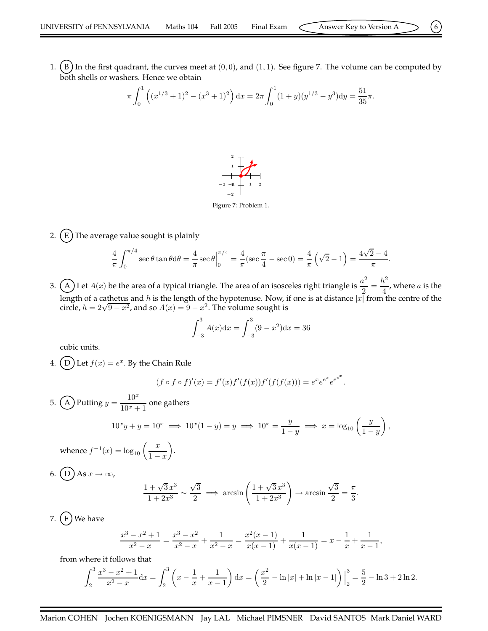1.  $(B)$  In the first quadrant, the curves meet at  $(0, 0)$ , and  $(1, 1)$ . See figure 7. The volume can be computed by both shells or washers. Hence we obtain

$$
\pi \int_0^1 \left( (x^{1/3} + 1)^2 - (x^3 + 1)^2 \right) dx = 2\pi \int_0^1 (1 + y)(y^{1/3} - y^3) dy = \frac{51}{35}\pi.
$$



2.  $(E)$  The average value sought is plainly

$$
\frac{4}{\pi} \int_0^{\pi/4} \sec \theta \tan \theta d\theta = \frac{4}{\pi} \sec \theta \Big|_0^{\pi/4} = \frac{4}{\pi} (\sec \frac{\pi}{4} - \sec 0) = \frac{4}{\pi} (\sqrt{2} - 1) = \frac{4\sqrt{2} - 4}{\pi}.
$$

3. (A) Let  $A(x)$  be the area of a typical triangle. The area of an isosceles right triangle is  $\frac{a^2}{2}$  $\frac{a^2}{2} = \frac{h^2}{4}$  $\frac{a}{4}$ , where *a* is the length of a cathetus and h is the length of the hypotenuse. Now, if one is at distance  $|x|$  from the centre of the circle,  $h = 2\sqrt{9-x^2}$ , and so  $A(x) = 9-x^2$ . The volume sought is

$$
\int_{-3}^{3} A(x)dx = \int_{-3}^{3} (9 - x^2)dx = 36
$$

cubic units.

4. (D) Let  $f(x) = e^x$ . By the Chain Rule

$$
(f \circ f \circ f)'(x) = f'(x)f'(f(x))f'(f(f(x))) = e^x e^{e^x} e^{e^{x^x}}.
$$

5. (A) Putting  $y = \frac{10^x}{10^x}$  $\frac{10}{10^x + 1}$  one gathers

$$
10^x y + y = 10^x \implies 10^x (1 - y) = y \implies 10^x = \frac{y}{1 - y} \implies x = \log_{10} \left( \frac{y}{1 - y} \right),
$$

whence  $f^{-1}(x) = \log_{10} \left( \frac{x}{1} \right)$  $1 - x$  . 6.  $(D)$  As  $x \to \infty$ ,

$$
\frac{1+\sqrt{3}x^3}{1+2x^3} \sim \frac{\sqrt{3}}{2} \implies \arcsin\left(\frac{1+\sqrt{3}x^3}{1+2x^3}\right) \to \arcsin\frac{\sqrt{3}}{2} = \frac{\pi}{3}.
$$

7.  $(F)$  We have

$$
\frac{x^3 - x^2 + 1}{x^2 - x} = \frac{x^3 - x^2}{x^2 - x} + \frac{1}{x^2 - x} = \frac{x^2(x - 1)}{x(x - 1)} + \frac{1}{x(x - 1)} = x - \frac{1}{x} + \frac{1}{x - 1},
$$

from where it follows that

$$
\int_2^3 \frac{x^3 - x^2 + 1}{x^2 - x} dx = \int_2^3 \left( x - \frac{1}{x} + \frac{1}{x - 1} \right) dx = \left( \frac{x^2}{2} - \ln|x| + \ln|x - 1| \right) \Big|_2^3 = \frac{5}{2} - \ln 3 + 2 \ln 2.
$$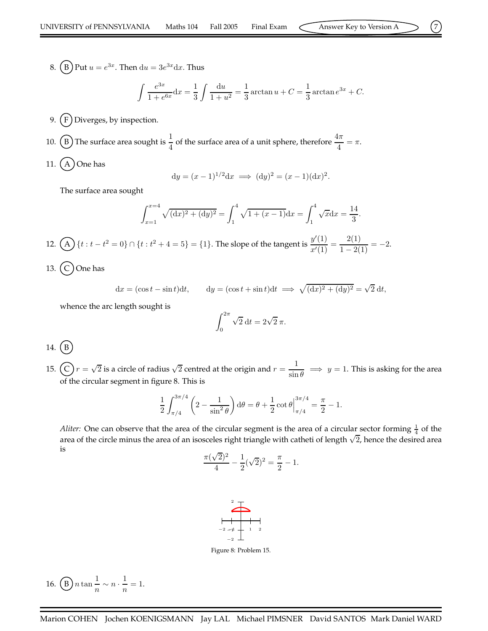8. (B) Put  $u=e^{3x}$ . Then  $du=3e^{3x}dx$ . Thus

$$
\int \frac{e^{3x}}{1 + e^{6x}} dx = \frac{1}{3} \int \frac{du}{1 + u^2} = \frac{1}{3} \arctan u + C = \frac{1}{3} \arctan e^{3x} + C.
$$

9.  $(F)$  Diverges, by inspection.

10. (B) The surface area sought is  $\frac{1}{4}$  of the surface area of a unit sphere, therefore  $\frac{4\pi}{4} = \pi$ .

11.  $(A)$  One has

$$
dy = (x - 1)^{1/2} dx \implies (dy)^2 = (x - 1)(dx)^2.
$$

The surface area sought

$$
\int_{x=1}^{x=4} \sqrt{(\mathrm{d}x)^2 + (\mathrm{d}y)^2} = \int_1^4 \sqrt{1 + (x-1)} \mathrm{d}x = \int_1^4 \sqrt{x} \mathrm{d}x = \frac{14}{3}.
$$

12. (A)  $\{t : t - t^2 = 0\} \cap \{t : t^2 + 4 = 5\} = \{1\}$ . The slope of the tangent is  $\frac{y'(1)}{x'(1)}$  $rac{y'(1)}{x'(1)} = \frac{2(1)}{1-2(1)} = -2.$ 

13.  $(C)$  One has

$$
dx = (\cos t - \sin t)dt, \qquad dy = (\cos t + \sin t)dt \implies \sqrt{(dx)^2 + (dy)^2} = \sqrt{2} dt,
$$

whence the arc length sought is

$$
\int_0^{2\pi} \sqrt{2} \, \mathrm{d}t = 2\sqrt{2} \, \pi.
$$

14.  $(B)$ 

15.  $\left(\widehat{C}\right) r = \sqrt{2}$  is a circle of radius  $\sqrt{2}$  centred at the origin and  $r = \frac{1}{\cdot}$  $\frac{1}{\sin \theta} \implies y = 1$ . This is asking for the area of the circular segment in figure 8. This is

$$
\frac{1}{2} \int_{\pi/4}^{3\pi/4} \left(2 - \frac{1}{\sin^2 \theta}\right) d\theta = \theta + \frac{1}{2} \cot \theta \Big|_{\pi/4}^{3\pi/4} = \frac{\pi}{2} - 1.
$$

*Aliter:* One can observe that the area of the circular segment is the area of a circular sector forming  $\frac{1}{4}$  of the area of the circle minus the area of an isosceles right triangle with catheti of length  $\sqrt{2}$ , hence the desired area is

$$
\frac{\pi(\sqrt{2})^2}{4} - \frac{1}{2}(\sqrt{2})^2 = \frac{\pi}{2} - 1.
$$



Figure 8: Problem 15.

16.  $\left(\overline{B}\right) n \tan \frac{1}{n}$  $\frac{1}{n} \sim n \cdot \frac{1}{n}$  $\frac{1}{n} = 1.$